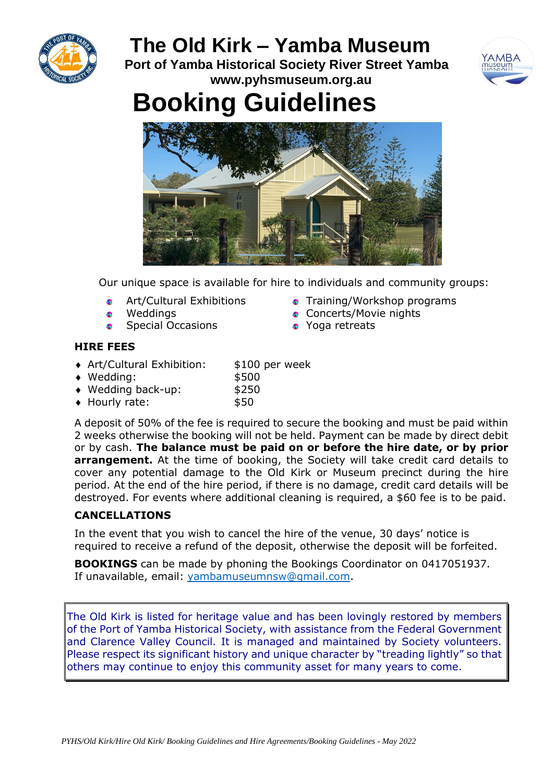

# **The Old Kirk – Yamba Museum**

**Port of Yamba Historical Society River Street Yamba www.pyhsmuseum.org.au**



# **Booking Guidelines**



Our unique space is available for hire to individuals and community groups:

- Art/Cultural Exhibitions G.
- Weddings **Sec**
- Special Occasions  $\bullet$
- **•** Training/Workshop programs
- **Concerts/Movie nights**
- Yoga retreats

# **HIRE FEES**

- ◆ Art/Cultural Exhibition: \$100 per week
- $\bullet$  Wedding:  $$500$ 
	-
- ◆ Wedding back-up: \$250
- Hourly rate: \$50

A deposit of 50% of the fee is required to secure the booking and must be paid within 2 weeks otherwise the booking will not be held. Payment can be made by direct debit or by cash. **The balance must be paid on or before the hire date, or by prior arrangement.** At the time of booking, the Society will take credit card details to cover any potential damage to the Old Kirk or Museum precinct during the hire period. At the end of the hire period, if there is no damage, credit card details will be destroyed. For events where additional cleaning is required, a \$60 fee is to be paid.

# **CANCELLATIONS**

In the event that you wish to cancel the hire of the venue, 30 days' notice is required to receive a refund of the deposit, otherwise the deposit will be forfeited.

**BOOKINGS** can be made by phoning the Bookings Coordinator on 0417051937. If unavailable, email: [yambamuseumnsw@gmail.com.](mailto:yambamuseumnsw@gmail.com)

The Old Kirk is listed for heritage value and has been lovingly restored by members of the Port of Yamba Historical Society, with assistance from the Federal Government and Clarence Valley Council. It is managed and maintained by Society volunteers. Please respect its significant history and unique character by "treading lightly" so that others may continue to enjoy this community asset for many years to come.